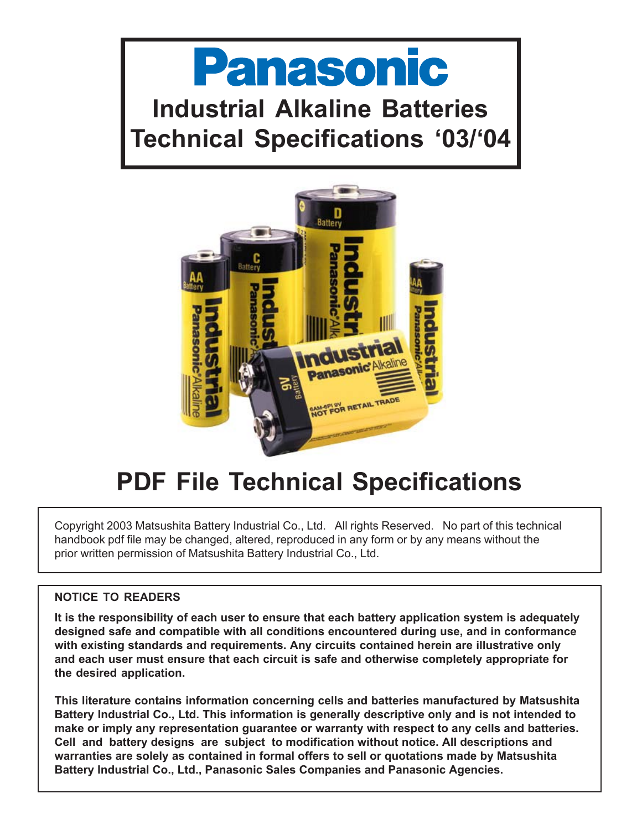



# **PDF File Technical Specifications**

Copyright 2003 Matsushita Battery Industrial Co., Ltd. All rights Reserved. No part of this technical handbook pdf file may be changed, altered, reproduced in any form or by any means without the prior written permission of Matsushita Battery Industrial Co., Ltd.

#### **NOTICE TO READERS**

**It is the responsibility of each user to ensure that each battery application system is adequately designed safe and compatible with all conditions encountered during use, and in conformance with existing standards and requirements. Any circuits contained herein are illustrative only and each user must ensure that each circuit is safe and otherwise completely appropriate for the desired application.**

**This literature contains information concerning cells and batteries manufactured by Matsushita Battery Industrial Co., Ltd. This information is generally descriptive only and is not intended to make or imply any representation guarantee or warranty with respect to any cells and batteries. Cell and battery designs are subject to modification without notice. All descriptions and warranties are solely as contained in formal offers to sell or quotations made by Matsushita Battery Industrial Co., Ltd., Panasonic Sales Companies and Panasonic Agencies.**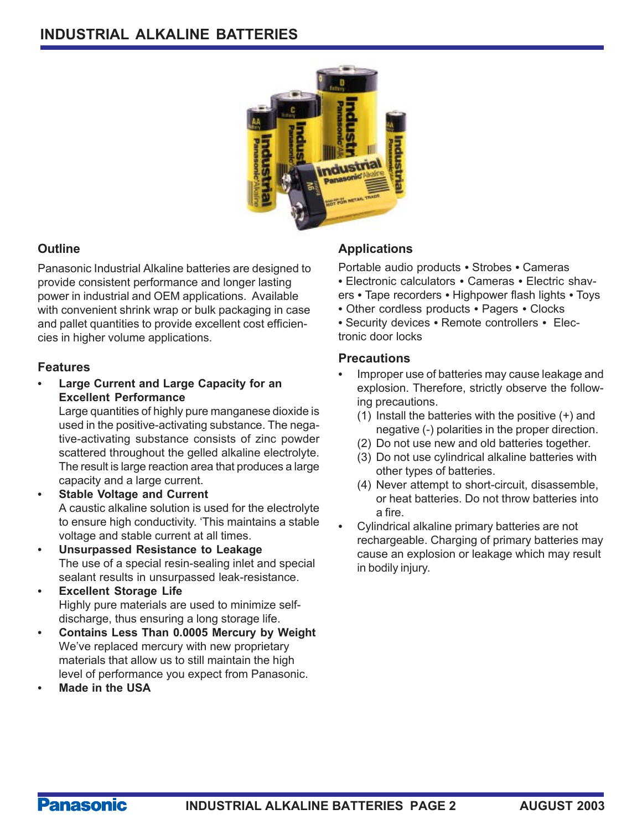# **INDUSTRIAL ALKALINE BATTERIES**



Panasonic Industrial Alkaline batteries are designed to provide consistent performance and longer lasting power in industrial and OEM applications. Available with convenient shrink wrap or bulk packaging in case and pallet quantities to provide excellent cost efficiencies in higher volume applications.

**• Large Current and Large Capacity for an Excellent Performance**

Large quantities of highly pure manganese dioxide is used in the positive-activating substance. The negative-activating substance consists of zinc powder scattered throughout the gelled alkaline electrolyte. The result is large reaction area that produces a large capacity and a large current.

- **• Stable Voltage and Current** A caustic alkaline solution is used for the electrolyte to ensure high conductivity. 'This maintains a stable voltage and stable current at all times.
- **• Unsurpassed Resistance to Leakage** The use of a special resin-sealing inlet and special sealant results in unsurpassed leak-resistance.
- **• Excellent Storage Life** Highly pure materials are used to minimize selfdischarge, thus ensuring a long storage life.
- **• Contains Less Than 0.0005 Mercury by Weight** We've replaced mercury with new proprietary materials that allow us to still maintain the high level of performance you expect from Panasonic.
- **• Made in the USA**

### **Outline Applications**

Portable audio products **•** Strobes **•** Cameras

- Electronic calculators **•** Cameras Electric shav-
- ers **•** Tape recorders **•** Highpower flash lights **•** Toys
- Other cordless products Pagers Clocks
- Security devices Remote controllers Electronic door locks

# **Precautions Features**

- **•** Improper use of batteries may cause leakage and explosion. Therefore, strictly observe the following precautions.
	- (1) Install the batteries with the positive (+) and negative (-) polarities in the proper direction.
	- (2) Do not use new and old batteries together.
	- (3) Do not use cylindrical alkaline batteries with other types of batteries.
	- (4) Never attempt to short-circuit, disassemble, or heat batteries. Do not throw batteries into a fire.
- **•** Cylindrical alkaline primary batteries are not rechargeable. Charging of primary batteries may cause an explosion or leakage which may result in bodily injury.

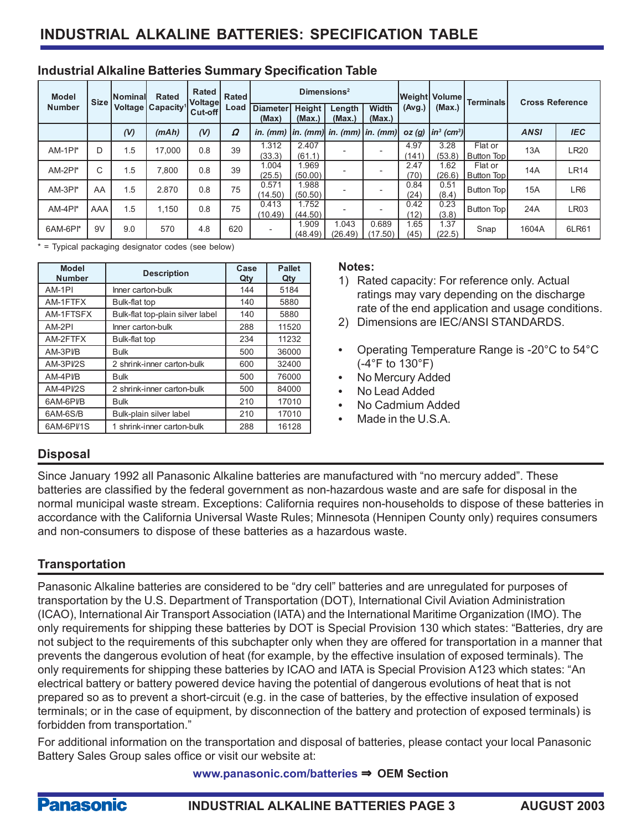| <b>Model</b><br><b>Number</b> | <b>Size</b> | <b>Nominal</b> | <b>Rated</b><br>Voltage   Capacity <sup>1</sup> | Rated<br>Voltage<br>Cut-off | <b>Rated</b><br>Load | Dimensions <sup>2</sup>  |                  |                                                                                 |                          |                        | Weight   Volume              | <b>Terminals</b>             | <b>Cross Reference</b> |             |
|-------------------------------|-------------|----------------|-------------------------------------------------|-----------------------------|----------------------|--------------------------|------------------|---------------------------------------------------------------------------------|--------------------------|------------------------|------------------------------|------------------------------|------------------------|-------------|
|                               |             |                |                                                 |                             |                      | <b>Diameter</b><br>(Max) | Height<br>(Max.) | Length<br>(Max.)                                                                | Width<br>(Max.)          | (Avg.)                 | (Max.)                       |                              |                        |             |
|                               |             | (V)            | (mAh)                                           | (V)                         | $\Omega$             | $in.$ ( $mm$ )           |                  | $\vert$ <i>in.</i> (mm) $\vert$ <i>in.</i> (mm) $\vert$ <i>in.</i> (mm) $\vert$ |                          | oz(g)                  | $\left  in^3~(cm^3) \right $ |                              | <b>ANSI</b>            | <b>IEC</b>  |
| $AM-1PI^*$                    | D           | 1.5            | 17.000                                          | 0.8                         | 39                   | 1.312<br>(33.3)          | 2.407<br>(61.1)  |                                                                                 | $\overline{\phantom{a}}$ | 4.97<br>(141)          | 3.28<br>(53.8)               | Flat or<br>Button Top        | 13A                    | <b>LR20</b> |
| AM-2PI*                       | C           | 1.5            | 7,800                                           | 0.8                         | 39                   | 1.004<br>(25.5)          | 1.969<br>(50.00) |                                                                                 | $\overline{\phantom{0}}$ | 2.47<br>(70)           | 1.62<br>(26.6)               | Flat or<br><b>Button Top</b> | 14A                    | <b>LR14</b> |
| AM-3PI*                       | AA          | 1.5            | 2.870                                           | 0.8                         | 75                   | 0.571<br>(14.50)         | 888.1<br>(50.50) |                                                                                 |                          | 0.84<br>(24)           | 0.51<br>(8.4)                | Button Top                   | <b>15A</b>             | LR6         |
| $AM-4PI*$                     | <b>AAA</b>  | 1.5            | 1.150                                           | 0.8                         | 75                   | 0.413<br>(10.49)         | 1.752<br>(44.50) |                                                                                 | ۰                        | 0.42<br>$^{\prime}12)$ | 0.23<br>(3.8)                | Button Top                   | 24A                    | <b>LR03</b> |
| 6AM-6PI*                      | 9V          | 9.0            | 570                                             | 4.8                         | 620                  |                          | 909.<br>(48.49)  | 1.043<br>(26.49)                                                                | 0.689<br>(17.50)         | .65<br>(45)            | 1.37<br>(22.5)               | Snap                         | 1604A                  | 6LR61       |

#### **Industrial Alkaline Batteries Summary Specification Table**

\* = Typical packaging designator codes (see below)

| <b>Model</b><br><b>Number</b> | <b>Description</b>               | Case<br>Qty | <b>Pallet</b><br>Qty |
|-------------------------------|----------------------------------|-------------|----------------------|
| AM-1PI                        | Inner carton-bulk                | 144         | 5184                 |
| AM-1FTFX                      | Bulk-flat top                    | 140         | 5880                 |
| AM-1FTSFX                     | Bulk-flat top-plain silver label | 140         | 5880                 |
| AM-2PI                        | Inner carton-bulk                | 288         | 11520                |
| AM-2FTFX                      | Bulk-flat top                    | 234         | 11232                |
| AM-3PVB                       | <b>Bulk</b>                      | 500         | 36000                |
| $AM-3PV2S$                    | 2 shrink-inner carton-bulk       | 600         | 32400                |
| AM-4PI/B                      | Bulk                             | 500         | 76000                |
| $AM-4PI/2S$                   | 2 shrink-inner carton-bulk       | 500         | 84000                |
| 6AM-6PVB                      | Bulk                             | 210         | 17010                |
| 6AM-6S/B                      | Bulk-plain silver label          | 210         | 17010                |
| 6AM-6PV1S                     | 1 shrink-inner carton-bulk       | 288         | 16128                |

#### **Notes:**

- 1) Rated capacity: For reference only. Actual ratings may vary depending on the discharge rate of the end application and usage conditions.
- 2) Dimensions are IEC/ANSI STANDARDS.
- **•** Operating Temperature Range is -20°C to 54°C (-4°F to 130°F)
- **•** No Mercury Added
- **•** No Lead Added
- **•** No Cadmium Added
- **•** Made in the U.S.A.

#### **Disposal**

Since January 1992 all Panasonic Alkaline batteries are manufactured with "no mercury added". These batteries are classified by the federal government as non-hazardous waste and are safe for disposal in the normal municipal waste stream. Exceptions: California requires non-households to dispose of these batteries in accordance with the California Universal Waste Rules; Minnesota (Hennipen County only) requires consumers and non-consumers to dispose of these batteries as a hazardous waste.

### **Transportation**

Panasonic Alkaline batteries are considered to be "dry cell" batteries and are unregulated for purposes of transportation by the U.S. Department of Transportation (DOT), International Civil Aviation Administration (ICAO), International Air Transport Association (IATA) and the International Maritime Organization (IMO). The only requirements for shipping these batteries by DOT is Special Provision 130 which states: "Batteries, dry are not subject to the requirements of this subchapter only when they are offered for transportation in a manner that prevents the dangerous evolution of heat (for example, by the effective insulation of exposed terminals). The only requirements for shipping these batteries by ICAO and IATA is Special Provision A123 which states: "An electrical battery or battery powered device having the potential of dangerous evolutions of heat that is not prepared so as to prevent a short-circuit (e.g. in the case of batteries, by the effective insulation of exposed terminals; or in the case of equipment, by disconnection of the battery and protection of exposed terminals) is forbidden from transportation."

For additional information on the transportation and disposal of batteries, please contact your local Panasonic Battery Sales Group sales office or visit our website at:

#### **www.panasonic.com/batteries** ⇒ **OEM Section**

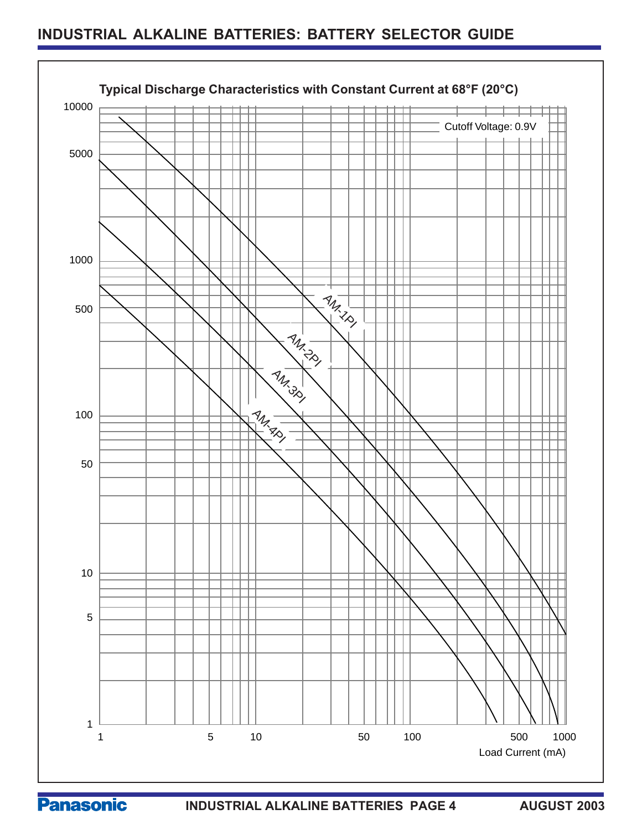# **INDUSTRIAL ALKALINE BATTERIES: BATTERY SELECTOR GUIDE**



**Panasonic** 

**INDUSTRIAL ALKALINE BATTERIES PAGE 4 AUGUST 2003**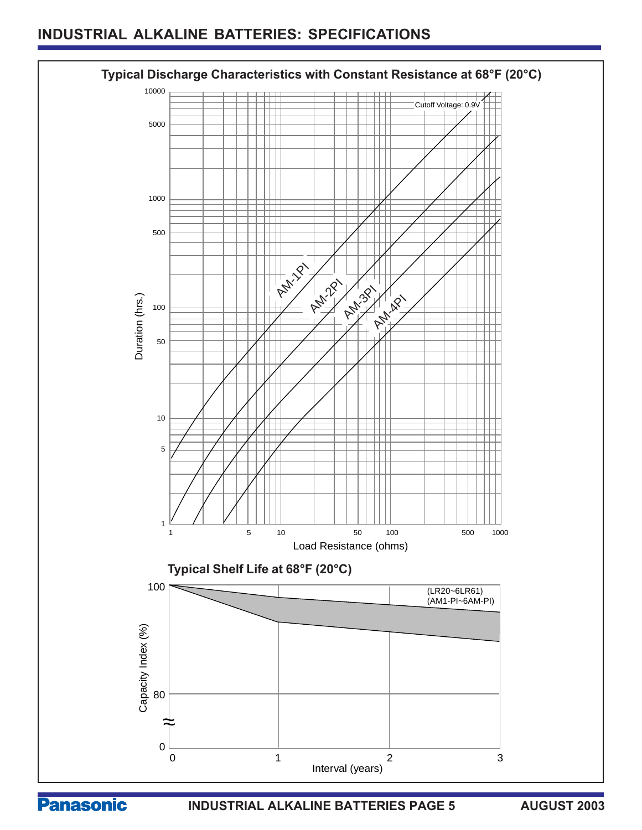# **INDUSTRIAL ALKALINE BATTERIES: SPECIFICATIONS**



**Panasonic** 

**INDUSTRIAL ALKALINE BATTERIES PAGE 5 AUGUST 2003**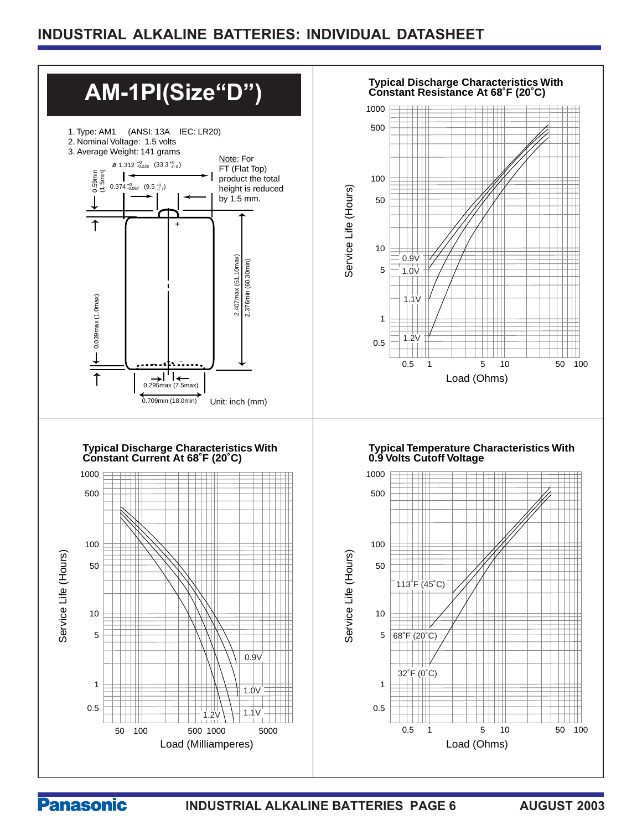

**Panasonic** 

**INDUSTRIAL ALKALINE BATTERIES PAGE 6 AUGUST 2003**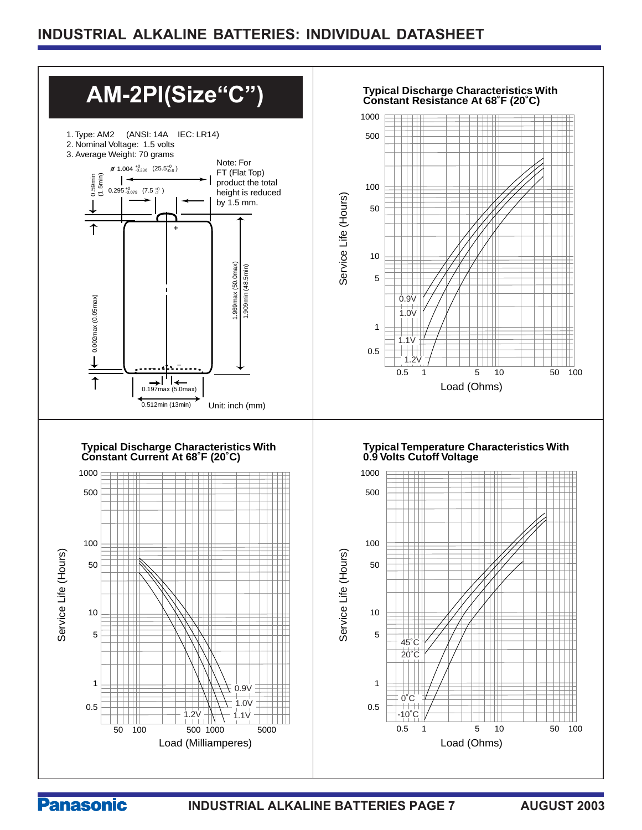

**Panasonic** 

**INDUSTRIAL ALKALINE BATTERIES PAGE 7 AUGUST 2003**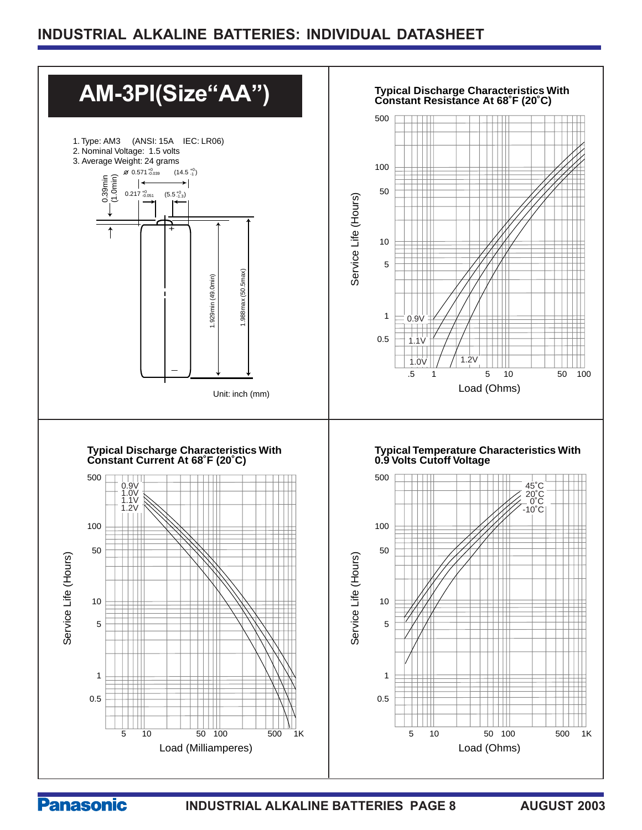

**Panasonic** 

**INDUSTRIAL ALKALINE BATTERIES PAGE 8 AUGUST 2003**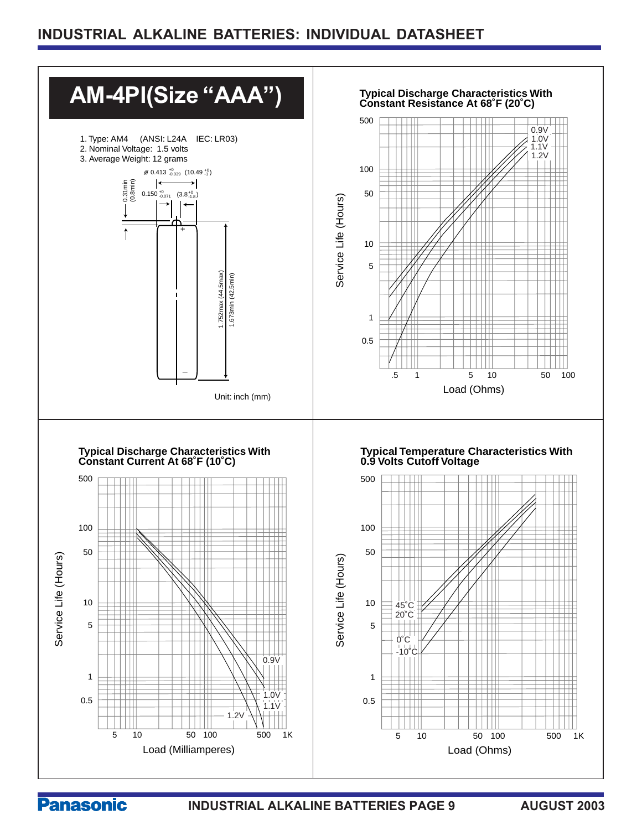

**INDUSTRIAL ALKALINE BATTERIES PAGE 9 AUGUST 2003**